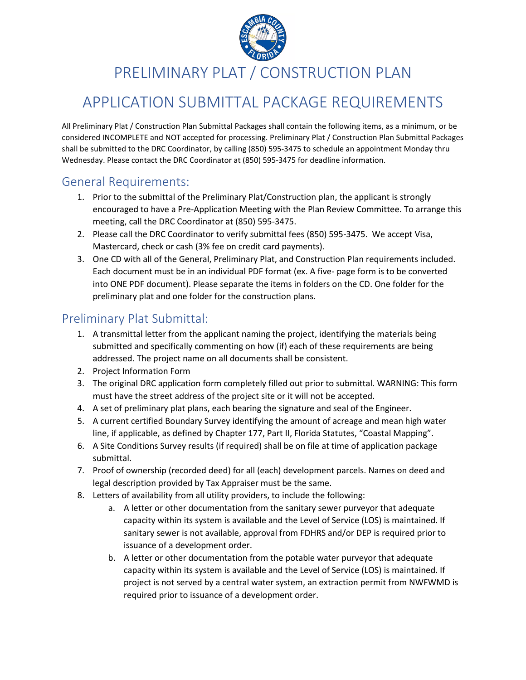

PRELIMINARY PLAT / CONSTRUCTION PLAN

## APPLICATION SUBMITTAL PACKAGE REQUIREMENTS

All Preliminary Plat / Construction Plan Submittal Packages shall contain the following items, as a minimum, or be considered INCOMPLETE and NOT accepted for processing. Preliminary Plat / Construction Plan Submittal Packages shall be submitted to the DRC Coordinator, by calling (850) 595-3475 to schedule an appointment Monday thru Wednesday. Please contact the DRC Coordinator at (850) 595-3475 for deadline information.

#### General Requirements:

- 1. Prior to the submittal of the Preliminary Plat/Construction plan, the applicant is strongly encouraged to have a Pre-Application Meeting with the Plan Review Committee. To arrange this meeting, call the DRC Coordinator at (850) 595-3475.
- 2. Please call the DRC Coordinator to verify submittal fees (850) 595-3475. We accept Visa, Mastercard, check or cash (3% fee on credit card payments).
- 3. One CD with all of the General, Preliminary Plat, and Construction Plan requirements included. Each document must be in an individual PDF format (ex. A five- page form is to be converted into ONE PDF document). Please separate the items in folders on the CD. One folder for the preliminary plat and one folder for the construction plans.

### Preliminary Plat Submittal:

- 1. A transmittal letter from the applicant naming the project, identifying the materials being submitted and specifically commenting on how (if) each of these requirements are being addressed. The project name on all documents shall be consistent.
- 2. Project Information Form
- 3. The original DRC application form completely filled out prior to submittal. WARNING: This form must have the street address of the project site or it will not be accepted.
- 4. A set of preliminary plat plans, each bearing the signature and seal of the Engineer.
- 5. A current certified Boundary Survey identifying the amount of acreage and mean high water line, if applicable, as defined by Chapter 177, Part II, Florida Statutes, "Coastal Mapping".
- 6. A Site Conditions Survey results (if required) shall be on file at time of application package submittal.
- 7. Proof of ownership (recorded deed) for all (each) development parcels. Names on deed and legal description provided by Tax Appraiser must be the same.
- 8. Letters of availability from all utility providers, to include the following:
	- a. A letter or other documentation from the sanitary sewer purveyor that adequate capacity within its system is available and the Level of Service (LOS) is maintained. If sanitary sewer is not available, approval from FDHRS and/or DEP is required prior to issuance of a development order.
	- b. A letter or other documentation from the potable water purveyor that adequate capacity within its system is available and the Level of Service (LOS) is maintained. If project is not served by a central water system, an extraction permit from NWFWMD is required prior to issuance of a development order.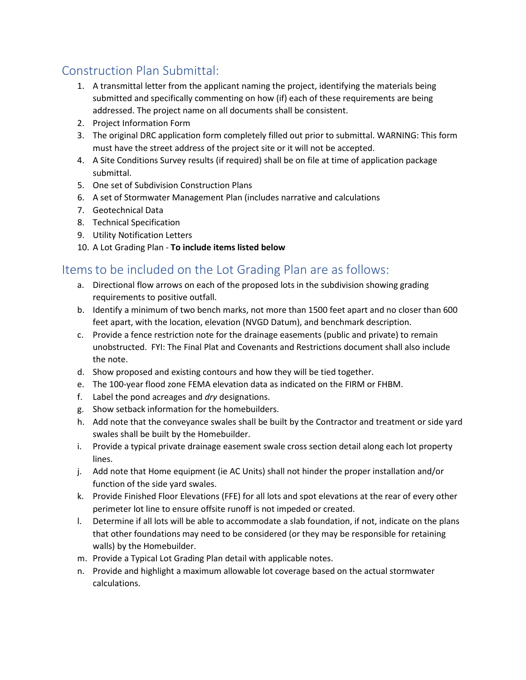### Construction Plan Submittal:

- 1. A transmittal letter from the applicant naming the project, identifying the materials being submitted and specifically commenting on how (if) each of these requirements are being addressed. The project name on all documents shall be consistent.
- 2. Project Information Form
- 3. The original DRC application form completely filled out prior to submittal. WARNING: This form must have the street address of the project site or it will not be accepted.
- 4. A Site Conditions Survey results (if required) shall be on file at time of application package submittal.
- 5. One set of Subdivision Construction Plans
- 6. A set of Stormwater Management Plan (includes narrative and calculations
- 7. Geotechnical Data
- 8. Technical Specification
- 9. Utility Notification Letters
- 10. A Lot Grading Plan **To include items listed below**

### Itemsto be included on the Lot Grading Plan are as follows:

- a. Directional flow arrows on each of the proposed lots in the subdivision showing grading requirements to positive outfall.
- b. Identify a minimum of two bench marks, not more than 1500 feet apart and no closer than 600 feet apart, with the location, elevation (NVGD Datum), and benchmark description.
- c. Provide a fence restriction note for the drainage easements (public and private) to remain unobstructed. FYI: The Final Plat and Covenants and Restrictions document shall also include the note.
- d. Show proposed and existing contours and how they will be tied together.
- e. The 100-year flood zone FEMA elevation data as indicated on the FIRM or FHBM.
- f. Label the pond acreages and *dry* designations.
- g. Show setback information for the homebuilders.
- h. Add note that the conveyance swales shall be built by the Contractor and treatment or side yard swales shall be built by the Homebuilder.
- i. Provide a typical private drainage easement swale cross section detail along each lot property lines.
- j. Add note that Home equipment (ie AC Units) shall not hinder the proper installation and/or function of the side yard swales.
- k. Provide Finished Floor Elevations (FFE) for all lots and spot elevations at the rear of every other perimeter lot line to ensure offsite runoff is not impeded or created.
- l. Determine if all lots will be able to accommodate a slab foundation, if not, indicate on the plans that other foundations may need to be considered (or they may be responsible for retaining walls) by the Homebuilder.
- m. Provide a Typical Lot Grading Plan detail with applicable notes.
- n. Provide and highlight a maximum allowable lot coverage based on the actual stormwater calculations.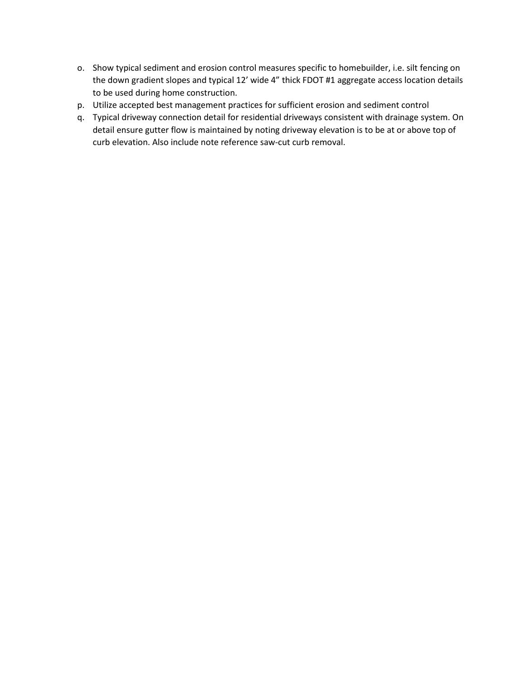- o. Show typical sediment and erosion control measures specific to homebuilder, i.e. silt fencing on the down gradient slopes and typical 12' wide 4" thick FDOT #1 aggregate access location details to be used during home construction.
- p. Utilize accepted best management practices for sufficient erosion and sediment control
- q. Typical driveway connection detail for residential driveways consistent with drainage system. On detail ensure gutter flow is maintained by noting driveway elevation is to be at or above top of curb elevation. Also include note reference saw-cut curb removal.